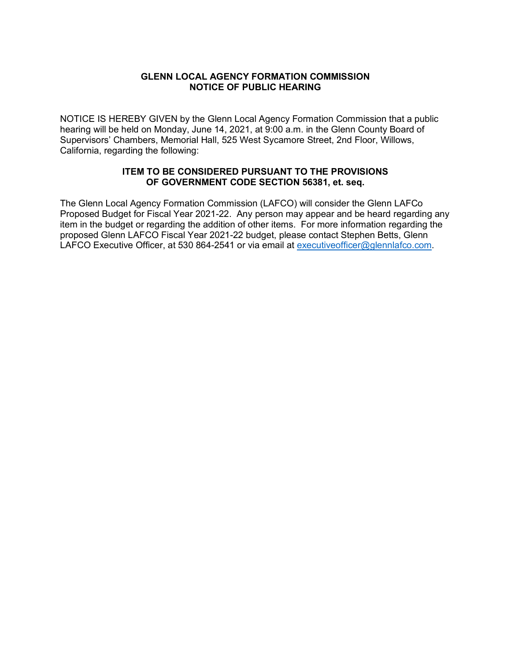## **GLENN LOCAL AGENCY FORMATION COMMISSION NOTICE OF PUBLIC HEARING**

NOTICE IS HEREBY GIVEN by the Glenn Local Agency Formation Commission that a public hearing will be held on Monday, June 14, 2021, at 9:00 a.m. in the Glenn County Board of Supervisors' Chambers, Memorial Hall, 525 West Sycamore Street, 2nd Floor, Willows, California, regarding the following:

## **ITEM TO BE CONSIDERED PURSUANT TO THE PROVISIONS OF GOVERNMENT CODE SECTION 56381, et. seq.**

The Glenn Local Agency Formation Commission (LAFCO) will consider the Glenn LAFCo Proposed Budget for Fiscal Year 2021-22. Any person may appear and be heard regarding any item in the budget or regarding the addition of other items. For more information regarding the proposed Glenn LAFCO Fiscal Year 2021-22 budget, please contact Stephen Betts, Glenn LAFCO Executive Officer, at 530 864-2541 or via email at [executiveofficer@glennlafco.com.](mailto:executiveofficer@glennlafco.com)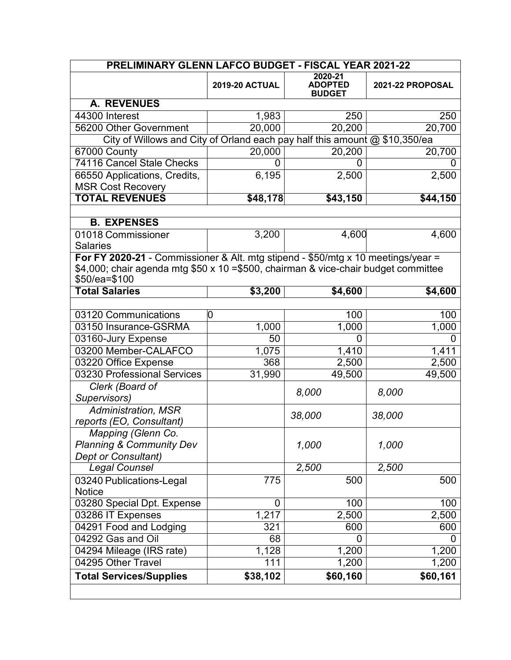| PRELIMINARY GLENN LAFCO BUDGET - FISCAL YEAR 2021-22                               |                       |                                            |                  |  |  |
|------------------------------------------------------------------------------------|-----------------------|--------------------------------------------|------------------|--|--|
|                                                                                    | <b>2019-20 ACTUAL</b> | 2020-21<br><b>ADOPTED</b><br><b>BUDGET</b> | 2021-22 PROPOSAL |  |  |
| <b>A. REVENUES</b>                                                                 |                       |                                            |                  |  |  |
| 44300 Interest                                                                     | 1,983                 | 250                                        | 250              |  |  |
| 56200 Other Government                                                             | 20,000                | 20,200                                     | 20,700           |  |  |
| City of Willows and City of Orland each pay half this amount @ \$10,350/ea         |                       |                                            |                  |  |  |
| 67000 County                                                                       | 20,000                | 20,200                                     | 20,700           |  |  |
| <b>74116 Cancel Stale Checks</b>                                                   | 0                     | 0                                          |                  |  |  |
| 66550 Applications, Credits,                                                       | 6,195                 | 2,500                                      | 2,500            |  |  |
| <b>MSR Cost Recovery</b>                                                           |                       |                                            |                  |  |  |
| <b>TOTAL REVENUES</b>                                                              | \$48,178              | \$43,150                                   | \$44,150         |  |  |
|                                                                                    |                       |                                            |                  |  |  |
| <b>B. EXPENSES</b>                                                                 |                       |                                            |                  |  |  |
| 01018 Commissioner                                                                 | 3,200                 | 4,600                                      | 4,600            |  |  |
| <b>Salaries</b>                                                                    |                       |                                            |                  |  |  |
| For FY 2020-21 - Commissioner & Alt. mtg stipend - \$50/mtg x 10 meetings/year =   |                       |                                            |                  |  |  |
| \$4,000; chair agenda mtg \$50 x 10 =\$500, chairman & vice-chair budget committee |                       |                                            |                  |  |  |
| \$50/ea=\$100                                                                      |                       |                                            |                  |  |  |
| <b>Total Salaries</b>                                                              | \$3,200               | \$4,600                                    | $\sqrt{4,600}$   |  |  |
| 03120 Communications                                                               | 0                     | 100                                        | 100              |  |  |
|                                                                                    |                       | 1,000                                      | 1,000            |  |  |
| 03150 Insurance-GSRMA                                                              | 1,000                 |                                            |                  |  |  |
| 03160-Jury Expense<br>03200 Member-CALAFCO                                         | 50                    | 0                                          |                  |  |  |
|                                                                                    | 1,075                 | 1,410                                      | 1,411            |  |  |
| 03220 Office Expense                                                               | 368                   | 2,500                                      | 2,500            |  |  |
| 03230 Professional Services                                                        | 31,990                | 49,500                                     | 49,500           |  |  |
| Clerk (Board of<br>Supervisors)                                                    |                       | 8,000                                      | 8,000            |  |  |
| Administration, MSR                                                                |                       |                                            |                  |  |  |
| reports (EO, Consultant)                                                           |                       | 38,000                                     | 38,000           |  |  |
| Mapping (Glenn Co.                                                                 |                       |                                            |                  |  |  |
| <b>Planning &amp; Community Dev</b>                                                |                       | 1,000                                      | 1,000            |  |  |
| Dept or Consultant)                                                                |                       |                                            |                  |  |  |
| <b>Legal Counsel</b>                                                               |                       | 2,500                                      | 2,500            |  |  |
| 03240 Publications-Legal                                                           | 775                   | 500                                        | 500              |  |  |
| Notice                                                                             |                       |                                            |                  |  |  |
| 03280 Special Dpt. Expense                                                         | 0                     | 100                                        | 100              |  |  |
| 03286 IT Expenses                                                                  | 1,217                 | 2,500                                      | 2,500            |  |  |
| 04291 Food and Lodging                                                             | 321                   | 600                                        | 600              |  |  |
| 04292 Gas and Oil                                                                  | 68                    | 0                                          |                  |  |  |
| 04294 Mileage (IRS rate)                                                           | 1,128                 | 1,200                                      | 1,200            |  |  |
| 04295 Other Travel                                                                 | 111                   | 1,200                                      | 1,200            |  |  |
| <b>Total Services/Supplies</b>                                                     | \$38,102              | \$60,160                                   | \$60,161         |  |  |
|                                                                                    |                       |                                            |                  |  |  |
|                                                                                    |                       |                                            |                  |  |  |